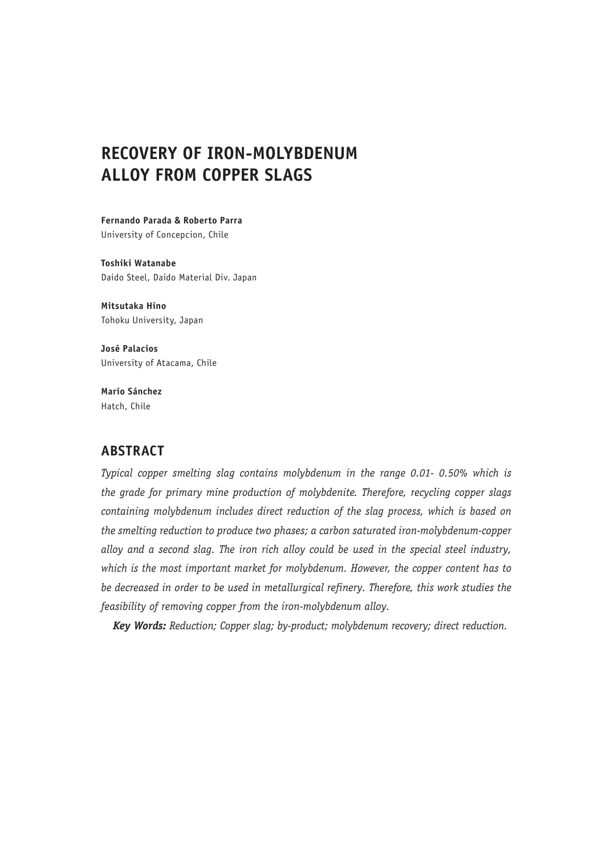# **RECOVERY OF IRON-MOLYBDENUM ALLOY FROM COPPER SLAGS**

**Fernando Parada & Roberto Parra** University of Concepcion, Chile

**Toshiki Watanabe** Daido Steel, Daido Material Div. Japan

**Mitsutaka Hino** Tohoku University, Japan

**José Palacios** University of Atacama, Chile

**Mario Sánchez** Hatch, Chile

## **ABSTRACT**

*Typical copper smelting slag contains molybdenum in the range 0.01- 0.50% which is the grade for primary mine production of molybdenite. Therefore, recycling copper slags containing molybdenum includes direct reduction of the slag process, which is based on the smelting reduction to produce two phases; a carbon saturated iron-molybdenum-copper alloy and a second slag. The iron rich alloy could be used in the special steel industry, which is the most important market for molybdenum. However, the copper content has to be decreased in order to be used in metallurgical refinery. Therefore, this work studies the feasibility of removing copper from the iron-molybdenum alloy.*

*Key Words: Reduction; Copper slag; by-product; molybdenum recovery; direct reduction.*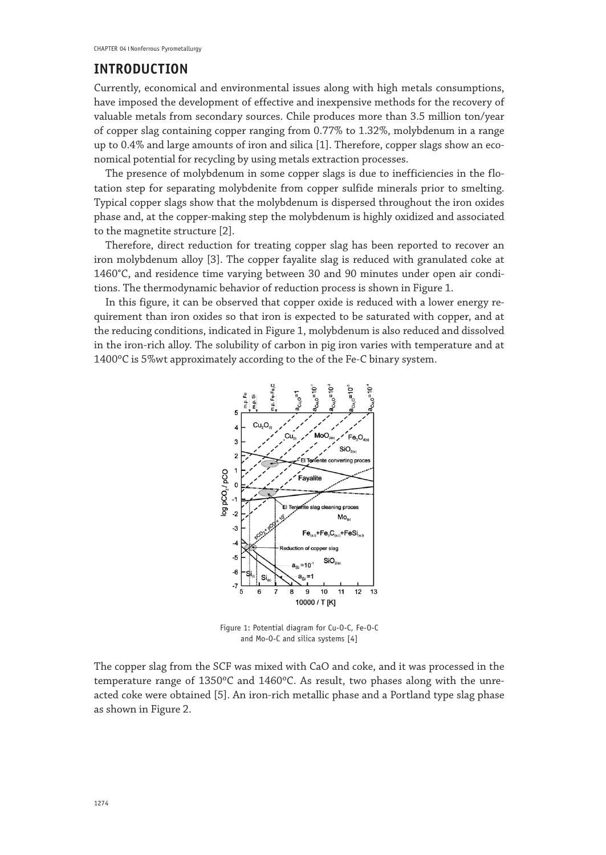#### **INTRODUCTION**

Currently, economical and environmental issues along with high metals consumptions, have imposed the development of effective and inexpensive methods for the recovery of valuable metals from secondary sources. Chile produces more than 3.5 million ton/year of copper slag containing copper ranging from 0.77% to 1.32%, molybdenum in a range up to 0.4% and large amounts of iron and silica [1]. Therefore, copper slags show an economical potential for recycling by using metals extraction processes.

The presence of molybdenum in some copper slags is due to inefficiencies in the flotation step for separating molybdenite from copper sulfide minerals prior to smelting. Typical copper slags show that the molybdenum is dispersed throughout the iron oxides phase and, at the copper-making step the molybdenum is highly oxidized and associated to the magnetite structure [2].

Therefore, direct reduction for treating copper slag has been reported to recover an iron molybdenum alloy [3]. The copper fayalite slag is reduced with granulated coke at 1460°C, and residence time varying between 30 and 90 minutes under open air conditions. The thermodynamic behavior of reduction process is shown in Figure 1.

In this figure, it can be observed that copper oxide is reduced with a lower energy requirement than iron oxides so that iron is expected to be saturated with copper, and at the reducing conditions, indicated in Figure 1, molybdenum is also reduced and dissolved in the iron-rich alloy. The solubility of carbon in pig iron varies with temperature and at 1400ºC is 5%wt approximately according to the of the Fe-C binary system.



Figure 1: Potential diagram for Cu-O-C, Fe-O-C and Mo-O-C and silica systems [4]

The copper slag from the SCF was mixed with CaO and coke, and it was processed in the temperature range of 1350ºC and 1460ºC. As result, two phases along with the unreacted coke were obtained [5]. An iron-rich metallic phase and a Portland type slag phase as shown in Figure 2.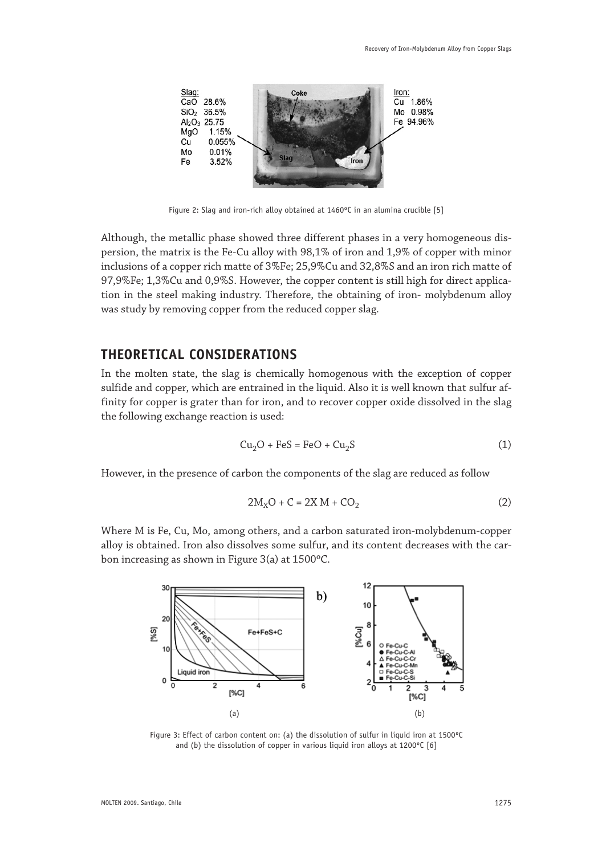

Figure 2: Slag and iron-rich alloy obtained at 1460ºC in an alumina crucible [5]

Although, the metallic phase showed three different phases in a very homogeneous dispersion, the matrix is the Fe-Cu alloy with 98,1% of iron and 1,9% of copper with minor inclusions of a copper rich matte of 3%Fe; 25,9%Cu and 32,8%S and an iron rich matte of 97,9%Fe; 1,3%Cu and 0,9%S. However, the copper content is still high for direct application in the steel making industry. Therefore, the obtaining of iron- molybdenum alloy was study by removing copper from the reduced copper slag.

#### **THEORETICAL CONSIDERATIONS**

In the molten state, the slag is chemically homogenous with the exception of copper sulfide and copper, which are entrained in the liquid. Also it is well known that sulfur affinity for copper is grater than for iron, and to recover copper oxide dissolved in the slag the following exchange reaction is used:

$$
Cu2O + FeS = FeO + Cu2S
$$
 (1)

However, in the presence of carbon the components of the slag are reduced as follow

$$
2M_XO + C = 2X M + CO_2 \tag{2}
$$

Where M is Fe, Cu, Mo, among others, and a carbon saturated iron-molybdenum-copper alloy is obtained. Iron also dissolves some sulfur, and its content decreases with the carbon increasing as shown in Figure 3(a) at 1500ºC.



Figure 3: Effect of carbon content on: (a) the dissolution of sulfur in liquid iron at 1500ºC and (b) the dissolution of copper in various liquid iron alloys at 1200°C [6]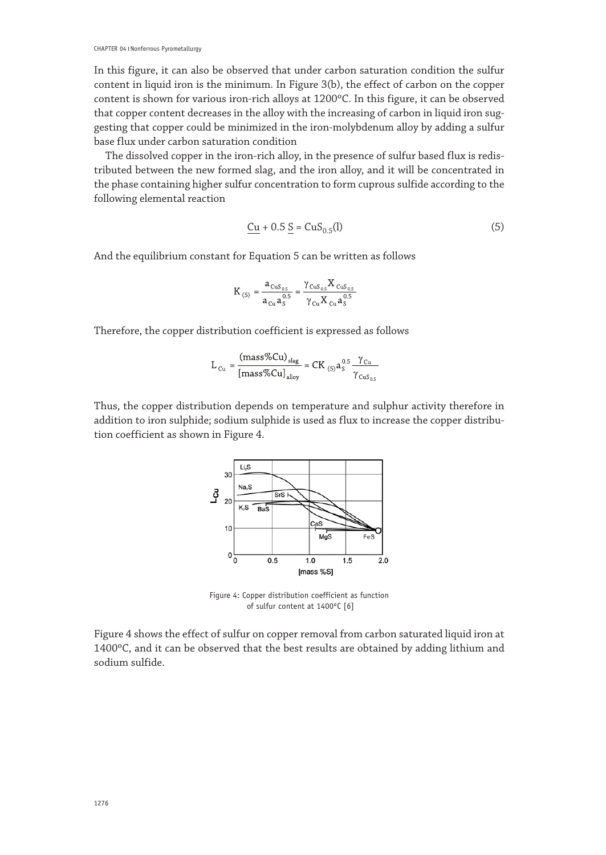In this figure, it can also be observed that under carbon saturation condition the sulfur content in liquid iron is the minimum. In Figure 3(b), the effect of carbon on the copper content is shown for various iron-rich alloys at 1200ºC. In this figure, it can be observed that copper content decreases in the alloy with the increasing of carbon in liquid iron suggesting that copper could be minimized in the iron-molybdenum alloy by adding a sulfur base flux under carbon saturation condition

The dissolved copper in the iron-rich alloy, in the presence of sulfur based flux is redistributed between the new formed slag, and the iron alloy, and it will be concentrated in the phase containing higher sulfur concentration to form cuprous sulfide according to the following elemental reaction

$$
\underline{Cu} + 0.5 \underline{S} = CuS_{0.5}(l) \tag{5}
$$

And the equilibrium constant for Equation 5 can be written as follows

$$
K_{(5)} = \frac{a_{CuS_{0.5}}}{a_{Cu}a_{S}^{0.5}} = \frac{\gamma_{CuS_{0.5}}X_{CuS_{0.5}}}{\gamma_{Cu}X_{Cu}a_{S}^{0.5}}
$$

Therefore, the copper distribution coefficient is expressed as follows

$$
L_{Cu} = \frac{(mass\%Cu)_{slag}}{[mass\%Cu]_{alloy}} = CK_{(5)}a_S^{0.5} \frac{\gamma_{Cu}}{\gamma_{CuS_{0.5}}}
$$

Thus, the copper distribution depends on temperature and sulphur activity therefore in addition to iron sulphide; sodium sulphide is used as flux to increase the copper distribution coefficient as shown in Figure 4.



Figure 4: Copper distribution coefficient as function of sulfur content at 1400ºC [6]

Figure 4 shows the effect of sulfur on copper removal from carbon saturated liquid iron at 1400ºC, and it can be observed that the best results are obtained by adding lithium and sodium sulfide.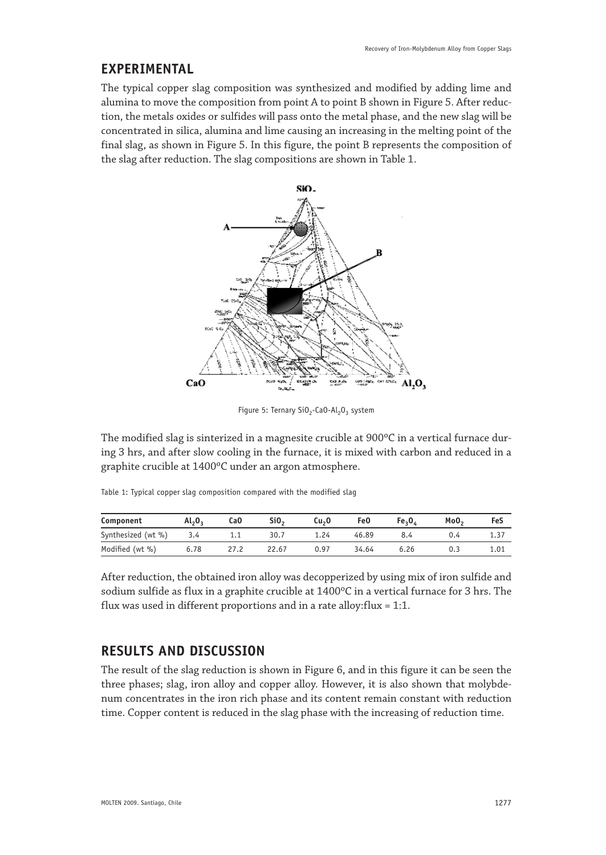#### **EXPERIMENTAL**

The typical copper slag composition was synthesized and modified by adding lime and alumina to move the composition from point A to point B shown in Figure 5. After reduction, the metals oxides or sulfides will pass onto the metal phase, and the new slag will be concentrated in silica, alumina and lime causing an increasing in the melting point of the final slag, as shown in Figure 5. In this figure, the point B represents the composition of the slag after reduction. The slag compositions are shown in Table 1.



Figure 5: Ternary SiO<sub>2</sub>-CaO-Al<sub>2</sub>O<sub>3</sub> system

The modified slag is sinterized in a magnesite crucible at 900°C in a vertical furnace during 3 hrs, and after slow cooling in the furnace, it is mixed with carbon and reduced in a graphite crucible at 1400ºC under an argon atmosphere.

|  |  |  | Table 1: Typical copper slag composition compared with the modified slag |  |  |
|--|--|--|--------------------------------------------------------------------------|--|--|
|  |  |  |                                                                          |  |  |

| Component          | Al <sub>2</sub> O <sub>2</sub> | CaO  | Si <sub>0</sub> | Cu <sub>2</sub> 0 | Fe0   | Fe <sub>2</sub> O <sub>4</sub> | MoO <sub>2</sub> | FeS  |
|--------------------|--------------------------------|------|-----------------|-------------------|-------|--------------------------------|------------------|------|
| Synthesized (wt %) | 3.4                            | 1.1  | 30.7            | 1.24              | 46.89 | 8.4                            |                  | 1.37 |
| Modified (wt %)    | 6.78                           | 27.2 | 22.67           | 0.97              | 34.64 | 6.26                           | 0.3              | 1.01 |

After reduction, the obtained iron alloy was decopperized by using mix of iron sulfide and sodium sulfide as flux in a graphite crucible at 1400ºC in a vertical furnace for 3 hrs. The flux was used in different proportions and in a rate alloy:flux = 1:1.

# **RESULTS AND DISCUSSION**

The result of the slag reduction is shown in Figure 6, and in this figure it can be seen the three phases; slag, iron alloy and copper alloy. However, it is also shown that molybdenum concentrates in the iron rich phase and its content remain constant with reduction time. Copper content is reduced in the slag phase with the increasing of reduction time.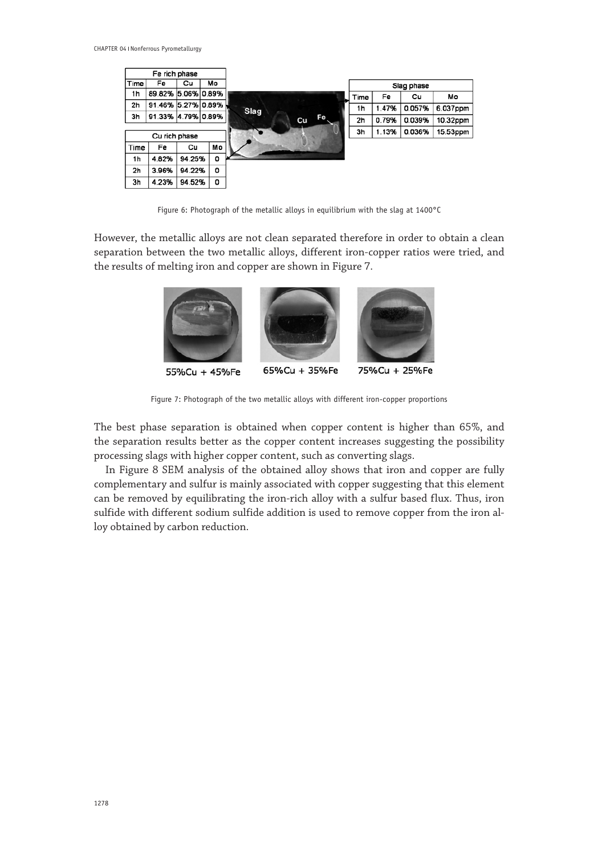|                        | Fe rich phase      |        |    |          |      |       |            |          |
|------------------------|--------------------|--------|----|----------|------|-------|------------|----------|
| Time<br>Mo<br>Fe<br>Cu |                    |        |    |          |      |       | Slag phase |          |
| 1 <sub>h</sub>         | 89.82% 5.06% 0.89% |        |    |          | Time | Fe    | Cu         | Mo       |
| 2 <sub>h</sub>         | 91.46% 5.27% 0.89% |        |    | Slag     | 1h   | 1.47% | 0.057%     | 6.037ppm |
| 3h                     | 91.33% 4.79% 0.89% |        |    | Fe<br>Cu | 2h   | 0.79% | 0.039%     | 10.32ppm |
|                        | Cu rich phase      |        |    |          | 3h   | 1.13% | 0.036%     | 15.53ppm |
| Time                   | Fe                 | Cu     | Mo |          |      |       |            |          |
| 1h                     | 4.82%              | 94.25% | 0  |          |      |       |            |          |
| 2h                     | 3.96%              | 94.22% | ٥  |          |      |       |            |          |
| 3h                     | 4.23%              | 94.52% | o  |          |      |       |            |          |

Figure 6: Photograph of the metallic alloys in equilibrium with the slag at 1400°C

However, the metallic alloys are not clean separated therefore in order to obtain a clean separation between the two metallic alloys, different iron-copper ratios were tried, and the results of melting iron and copper are shown in Figure 7.



Figure 7: Photograph of the two metallic alloys with different iron-copper proportions

The best phase separation is obtained when copper content is higher than 65%, and the separation results better as the copper content increases suggesting the possibility processing slags with higher copper content, such as converting slags.

In Figure 8 SEM analysis of the obtained alloy shows that iron and copper are fully complementary and sulfur is mainly associated with copper suggesting that this element can be removed by equilibrating the iron-rich alloy with a sulfur based flux. Thus, iron sulfide with different sodium sulfide addition is used to remove copper from the iron alloy obtained by carbon reduction.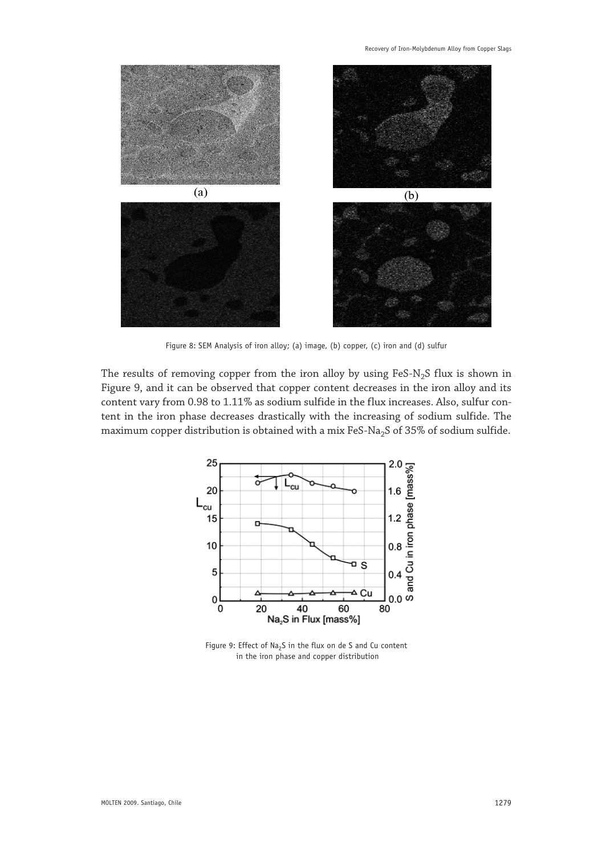Recovery of Iron-Molybdenum Alloy from Copper Slags



Figure 8: SEM Analysis of iron alloy; (a) image, (b) copper, (c) iron and (d) sulfur

The results of removing copper from the iron alloy by using FeS-N<sub>2</sub>S flux is shown in Figure 9, and it can be observed that copper content decreases in the iron alloy and its content vary from 0.98 to 1.11% as sodium sulfide in the flux increases. Also, sulfur content in the iron phase decreases drastically with the increasing of sodium sulfide. The maximum copper distribution is obtained with a mix FeS-Na<sub>2</sub>S of 35% of sodium sulfide.



Figure 9: Effect of Na<sub>2</sub>S in the flux on de S and Cu content in the iron phase and copper distribution